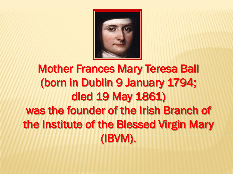

# Mother Frances Mary Teresa Ball (born in Dublin 9 January 1794; died 19 May 1861) was the founder of the Irish Branch of the Institute of the Blessed Virgin Mary (IBVM).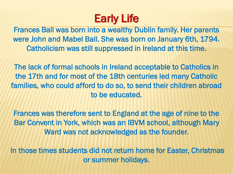## Early Life

Frances Ball was born into a wealthy Dublin family. Her parents were John and Mabel Ball. She was born on January 6th, 1794. Catholicism was still suppressed in Ireland at this time.

The lack of formal schools in Ireland acceptable to Catholics in the 17th and for most of the 18th centuries led many Catholic families, who could afford to do so, to send their children abroad to be educated.

Frances was therefore sent to England at the age of nine to the Bar Convent in York, which was an IBVM school, although Mary Ward was not acknowledged as the founder.

In those times students did not return home for Easter, Christmas or summer holidays.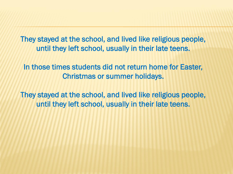They stayed at the school, and lived like religious people, until they left school, usually in their late teens.

In those times students did not return home for Easter, Christmas or summer holidays.

They stayed at the school, and lived like religious people, until they left school, usually in their late teens.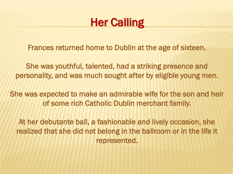#### **Her Calling**

Frances returned home to Dublin at the age of sixteen.

She was youthful, talented, had a striking presence and personality, and was much sought after by eligible young men.

She was expected to make an admirable wife for the son and heir of some rich Catholic Dublin merchant family.

At her debutante ball, a fashionable and lively occasion, she realized that she did not belong in the ballroom or in the life it represented.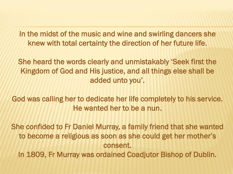In the midst of the music and wine and swirling dancers she knew with total certainty the direction of her future life.

She heard the words clearly and unmistakably 'Seek first the Kingdom of God and His justice, and all things else shall be added unto you'.

God was calling her to dedicate her life completely to his service. He wanted her to be a nun.

She confided to Fr Daniel Murray, a family friend that she wanted to become a religious as soon as she could get her mother's consent. In 1809, Fr Murray was ordained Coadjutor Bishop of Dublin.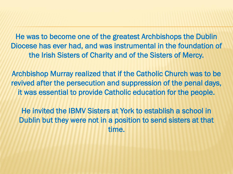He was to become one of the greatest Archbishops the Dublin Diocese has ever had, and was instrumental in the foundation of the Irish Sisters of Charity and of the Sisters of Mercy.

Archbishop Murray realized that if the Catholic Church was to be revived after the persecution and suppression of the penal days, it was essential to provide Catholic education for the people.

He invited the IBMV Sisters at York to establish a school in Dublin but they were not in a position to send sisters at that time.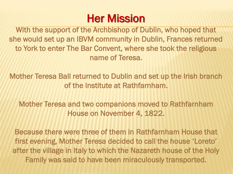### Her Mission

With the support of the Archbishop of Dublin, who hoped that she would set up an IBVM community in Dublin, Frances returned to York to enter The Bar Convent, where she took the religious name of Teresa.

Mother Teresa Ball returned to Dublin and set up the Irish branch of the Institute at Rathfarnham.

Mother Teresa and two companions moved to Rathfarnham House on November 4, 1822.

Because there were three of them in Rathfarnham House that first evening, Mother Teresa decided to call the house 'Loreto' after the village in Italy to which the Nazareth house of the Holy Family was said to have been miraculously transported.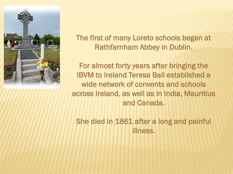

The first of many Loreto schools began at Rathfarnham Abbey in Dublin.

For almost forty years after bringing the IBVM to Ireland Teresa Ball established a wide network of convents and schools across Ireland, as well as in India, Mauritius and Canada.

She died in 1861 after a long and painful illness.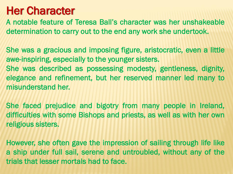#### Her Character

A notable feature of Teresa Ball's character was her unshakeable determination to carry out to the end any work she undertook.

She was a gracious and imposing figure, aristocratic, even a little awe-inspiring, especially to the younger sisters. She was described as possessing modesty, gentleness, dignity,

elegance and refinement, but her reserved manner led many to misunderstand her.

She faced prejudice and bigotry from many people in Ireland, difficulties with some Bishops and priests, as well as with her own religious sisters.

However, she often gave the impression of sailing through life like a ship under full sail, serene and untroubled, without any of the trials that lesser mortals had to face.